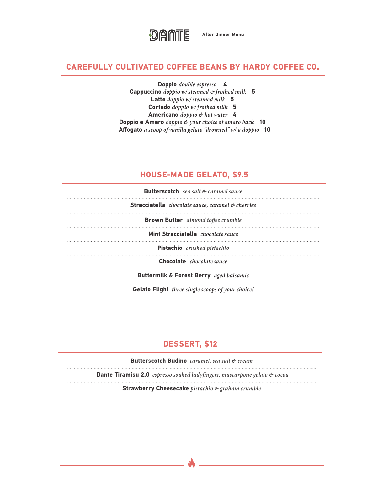

#### **CAREFULLY CULTIVATED COFFEE BEANS BY HARDY COFFEE CO.**

**Doppio** *double espresso* **4** **Cappuccino** *doppio w/ steamed & frothed milk* **5** **Latte** *doppio w/ steamed milk* **5** **Cortado** *doppio w/ frothed milk* **5 Americano** *doppio & hot water* **4 Doppio e Amaro** *doppio & your choice of amaro back* **10** **Affogato** *a scoop of vanilla gelato "drowned" w/ a doppio* **10**

## **HOUSE-MADE GELATO, \$9.5**

| <b>Butterscotch</b> sea salt & caramel sauce             |  |
|----------------------------------------------------------|--|
| Stracciatella chocolate sauce, caramel & cherries        |  |
| <b>Brown Butter</b> almond toffee crumble                |  |
| Mint Stracciatella chocolate sauce                       |  |
| <b>Pistachio</b> crushed pistachio                       |  |
| Chocolate chocolate sauce                                |  |
| Buttermilk & Forest Berry aged balsamic                  |  |
| <b>Gelato Flight</b> three single scoops of your choice! |  |

# **DESSERT, \$12**

**Butterscotch Budino** *caramel, sea salt & cream* 

 **Dante Tiramisu 2.0** *espresso soaked ladyfingers, mascarpone gelato & cocoa*

**Strawberry Cheesecake** *pistachio & graham crumble*